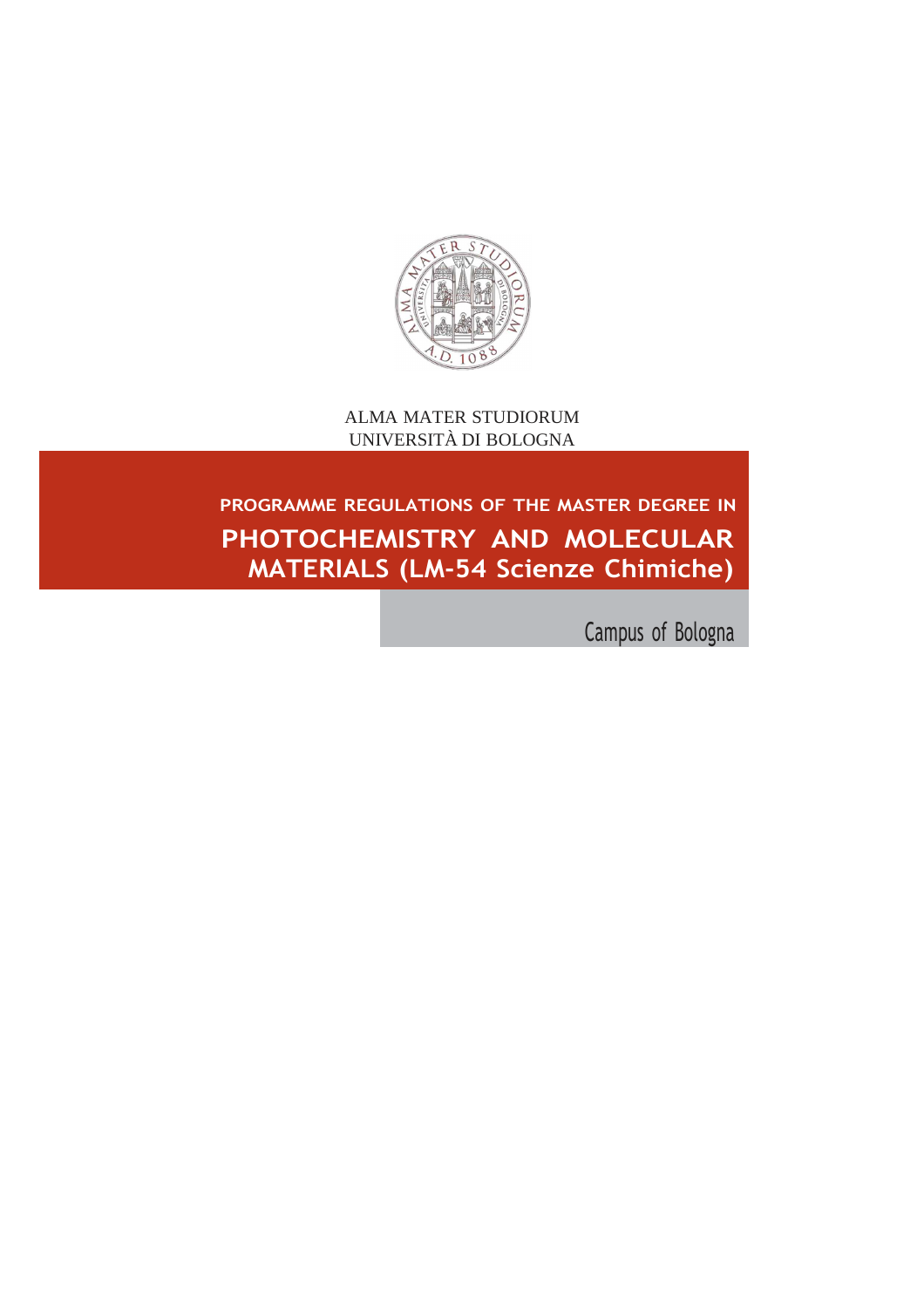

ALMA MATER STUDIORUM UNIVERSITÀ DI BOLOGNA

# **PROGRAMME REGULATIONS OF THE MASTER DEGREE IN PHOTOCHEMISTRY AND MOLECULAR MATERIALS (LM-54 Scienze Chimiche)**

Campus of Bologna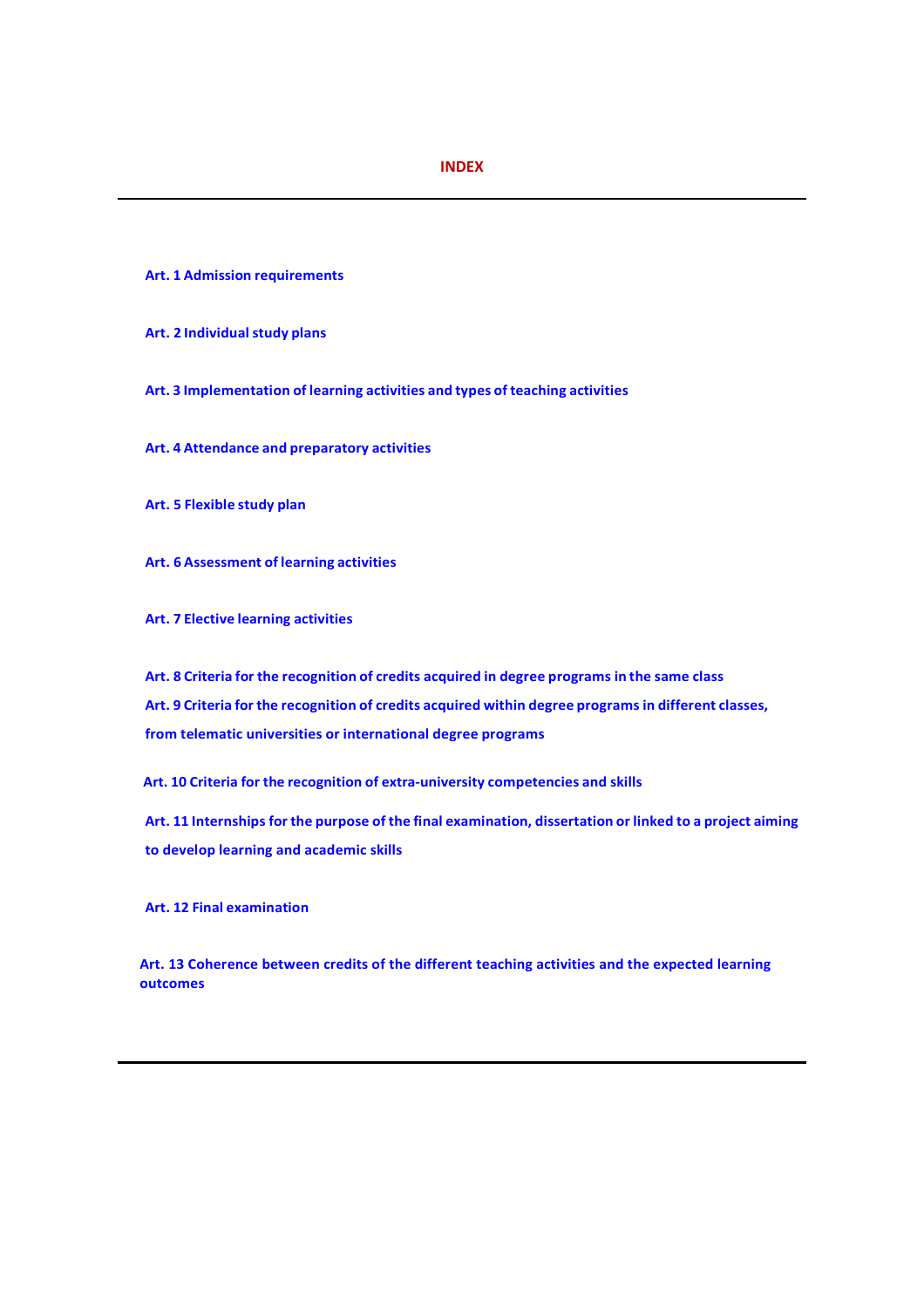# **INDEX**

- **Art. 1 Admission requirements**
- **Art. 2 Individual study plans**
- **Art. 3 Implementation of learning activities and types of teaching activities**
- **Art. 4 Attendance and preparatory activities**
- **Art. 5 Flexible study plan**
- **Art. 6 Assessment of learning activities**
- **Art. 7 Elective learning activities**

**Art. 8 Criteria for the recognition of credits acquired in degree programs in the same class Art. 9 Criteria for the recognition of credits acquired within degree programs in different classes, from telematic universities or international degree programs**

**Art. 10 Criteria for the recognition of extra-university competencies and skills**

**Art. 11 Internships for the purpose of the final examination, dissertation or linked to a project aiming to develop learning and academic skills**

**Art. 12 Final examination**

**Art. 13 Coherence between credits of the different teaching activities and the expected learning outcomes**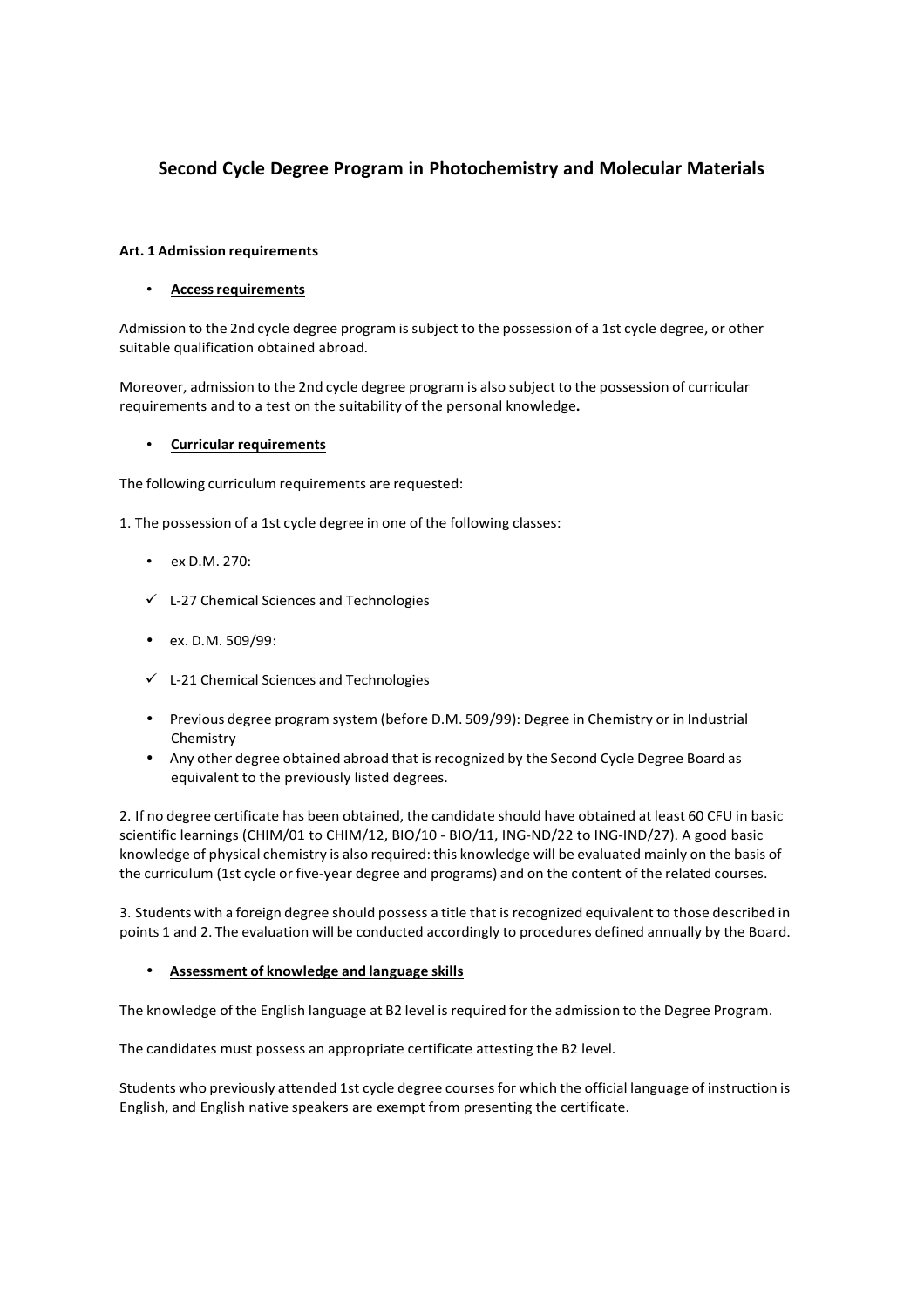# **Second Cycle Degree Program in Photochemistry and Molecular Materials**

# **Art. 1 Admission requirements**

# • **Access requirements**

Admission to the 2nd cycle degree program is subject to the possession of a 1st cycle degree, or other suitable qualification obtained abroad.

Moreover, admission to the 2nd cycle degree program is also subject to the possession of curricular requirements and to a test on the suitability of the personal knowledge**.**

# • **Curricular requirements**

The following curriculum requirements are requested:

1. The possession of a 1st cycle degree in one of the following classes:

- ex D.M. 270:
- $\checkmark$  L-27 Chemical Sciences and Technologies
- ex. D.M. 509/99:
- $\checkmark$  L-21 Chemical Sciences and Technologies
- Previous degree program system (before D.M. 509/99): Degree in Chemistry or in Industrial Chemistry
- Any other degree obtained abroad that is recognized by the Second Cycle Degree Board as equivalent to the previously listed degrees.

2. If no degree certificate has been obtained, the candidate should have obtained at least 60 CFU in basic scientific learnings (CHIM/01 to CHIM/12, BIO/10 - BIO/11, ING-ND/22 to ING-IND/27). A good basic knowledge of physical chemistry is also required: this knowledge will be evaluated mainly on the basis of the curriculum (1st cycle or five-year degree and programs) and on the content of the related courses.

3. Students with a foreign degree should possess a title that is recognized equivalent to those described in points 1 and 2. The evaluation will be conducted accordingly to procedures defined annually by the Board.

# • **Assessment of knowledge and language skills**

The knowledge of the English language at B2 level is required for the admission to the Degree Program.

The candidates must possess an appropriate certificate attesting the B2 level.

Students who previously attended 1st cycle degree courses for which the official language of instruction is English, and English native speakers are exempt from presenting the certificate.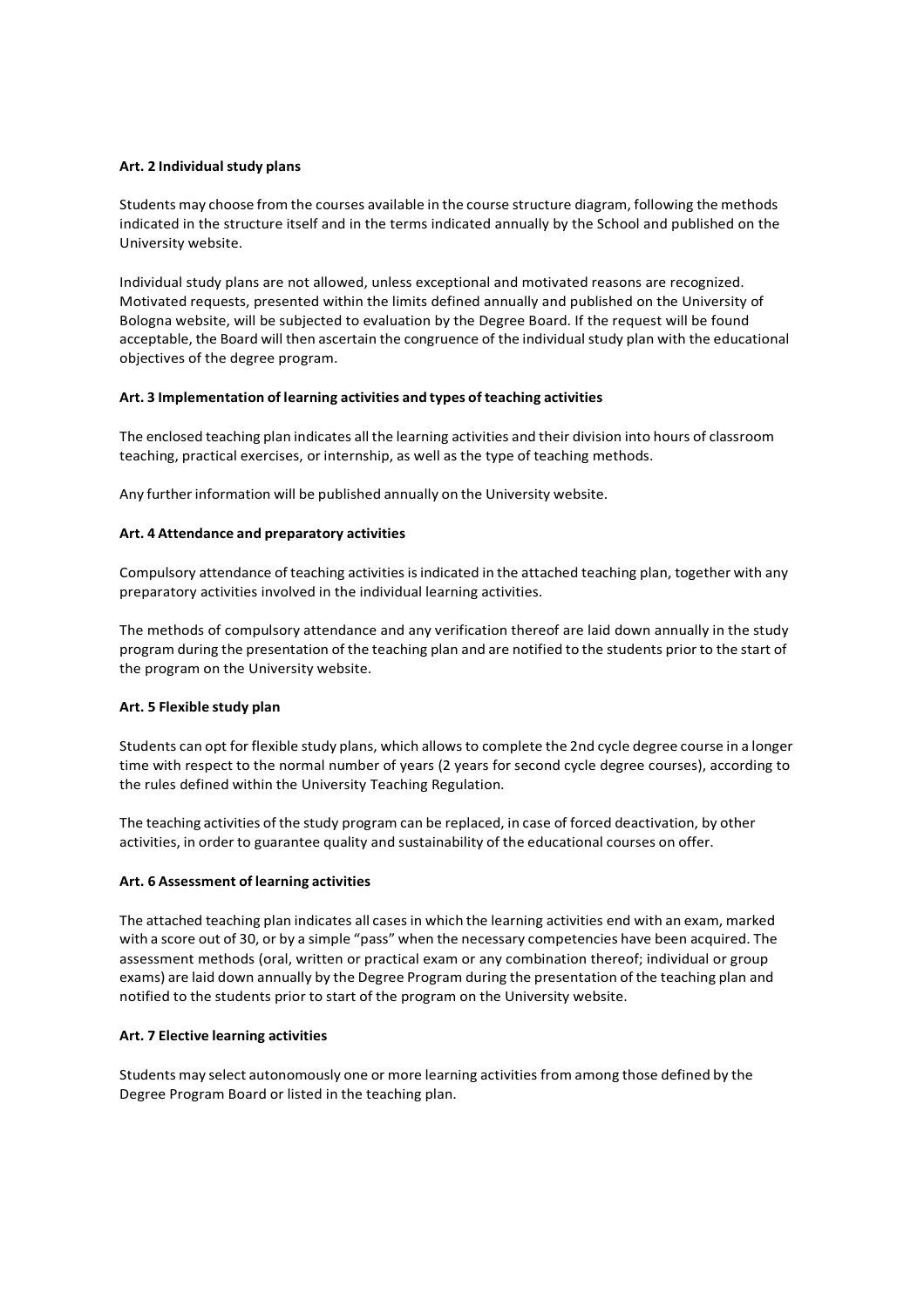#### **Art. 2 Individual study plans**

Students may choose from the courses available in the course structure diagram, following the methods indicated in the structure itself and in the terms indicated annually by the School and published on the University website.

Individual study plans are not allowed, unless exceptional and motivated reasons are recognized. Motivated requests, presented within the limits defined annually and published on the University of Bologna website, will be subjected to evaluation by the Degree Board. If the request will be found acceptable, the Board will then ascertain the congruence of the individual study plan with the educational objectives of the degree program.

#### **Art. 3 Implementation of learning activities and types of teaching activities**

The enclosed teaching plan indicates all the learning activities and their division into hours of classroom teaching, practical exercises, or internship, as well as the type of teaching methods.

Any further information will be published annually on the University website.

#### **Art. 4 Attendance and preparatory activities**

Compulsory attendance of teaching activities is indicated in the attached teaching plan, together with any preparatory activities involved in the individual learning activities.

The methods of compulsory attendance and any verification thereof are laid down annually in the study program during the presentation of the teaching plan and are notified to the students prior to the start of the program on the University website.

# **Art. 5 Flexible study plan**

Students can opt for flexible study plans, which allows to complete the 2nd cycle degree course in a longer time with respect to the normal number of years (2 years for second cycle degree courses), according to the rules defined within the University Teaching Regulation.

The teaching activities of the study program can be replaced, in case of forced deactivation, by other activities, in order to guarantee quality and sustainability of the educational courses on offer.

# **Art. 6 Assessment of learning activities**

The attached teaching plan indicates all cases in which the learning activities end with an exam, marked with a score out of 30, or by a simple "pass" when the necessary competencies have been acquired. The assessment methods (oral, written or practical exam or any combination thereof; individual or group exams) are laid down annually by the Degree Program during the presentation of the teaching plan and notified to the students prior to start of the program on the University website.

# **Art. 7 Elective learning activities**

Students may select autonomously one or more learning activities from among those defined by the Degree Program Board or listed in the teaching plan.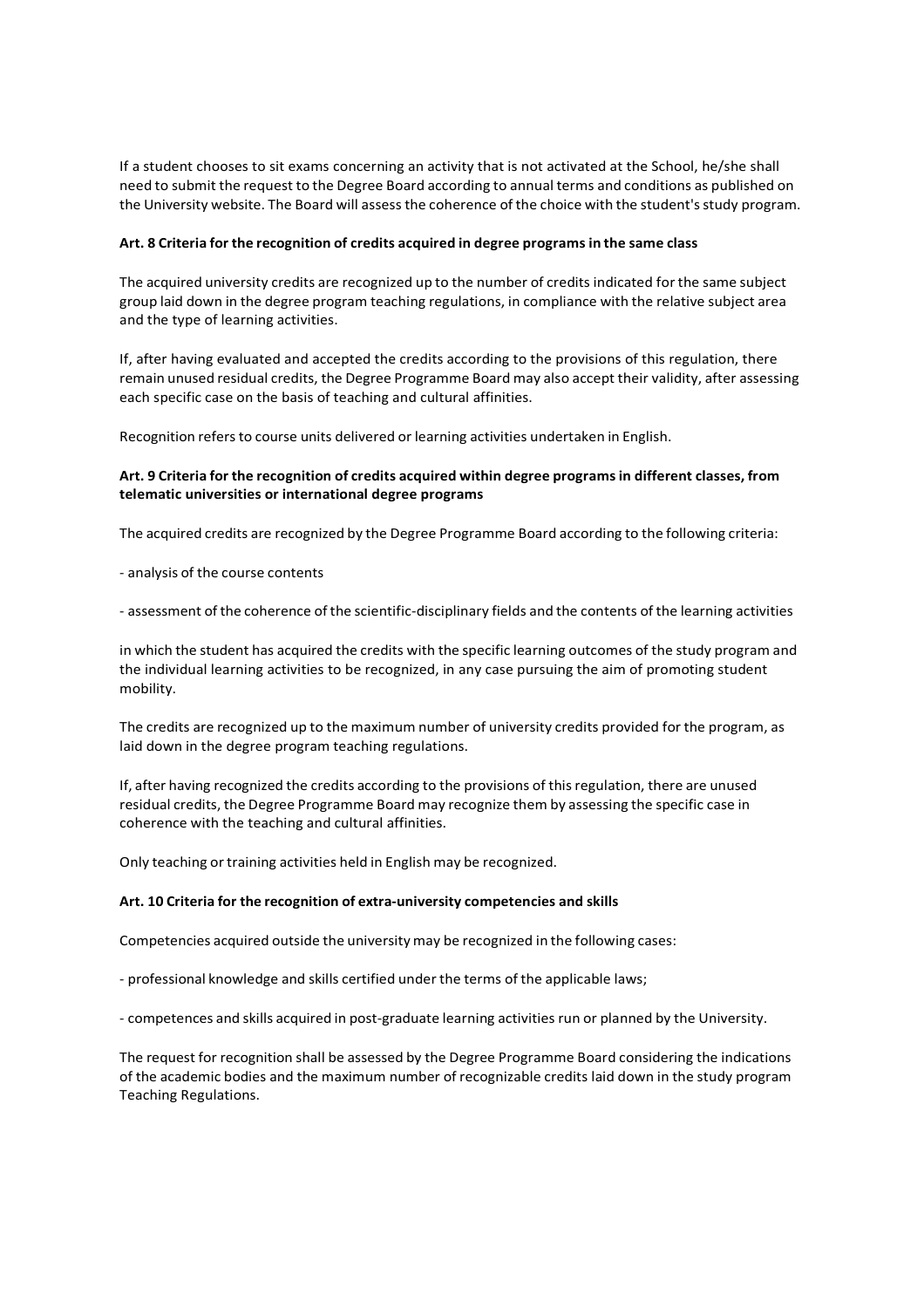If a student chooses to sit exams concerning an activity that is not activated at the School, he/she shall need to submit the request to the Degree Board according to annual terms and conditions as published on the University website. The Board will assess the coherence of the choice with the student's study program.

#### **Art. 8 Criteria for the recognition of credits acquired in degree programs in the same class**

The acquired university credits are recognized up to the number of credits indicated for the same subject group laid down in the degree program teaching regulations, in compliance with the relative subject area and the type of learning activities.

If, after having evaluated and accepted the credits according to the provisions of this regulation, there remain unused residual credits, the Degree Programme Board may also accept their validity, after assessing each specific case on the basis of teaching and cultural affinities.

Recognition refers to course units delivered or learning activities undertaken in English.

# **Art. 9 Criteria for the recognition of credits acquired within degree programs in different classes, from telematic universities or international degree programs**

The acquired credits are recognized by the Degree Programme Board according to the following criteria:

- analysis of the course contents

- assessment of the coherence of the scientific-disciplinary fields and the contents of the learning activities

in which the student has acquired the credits with the specific learning outcomes of the study program and the individual learning activities to be recognized, in any case pursuing the aim of promoting student mobility.

The credits are recognized up to the maximum number of university credits provided for the program, as laid down in the degree program teaching regulations.

If, after having recognized the credits according to the provisions of this regulation, there are unused residual credits, the Degree Programme Board may recognize them by assessing the specific case in coherence with the teaching and cultural affinities.

Only teaching or training activities held in English may be recognized.

#### **Art. 10 Criteria for the recognition of extra-university competencies and skills**

Competencies acquired outside the university may be recognized in the following cases:

- professional knowledge and skills certified under the terms of the applicable laws;

- competences and skills acquired in post-graduate learning activities run or planned by the University.

The request for recognition shall be assessed by the Degree Programme Board considering the indications of the academic bodies and the maximum number of recognizable credits laid down in the study program Teaching Regulations.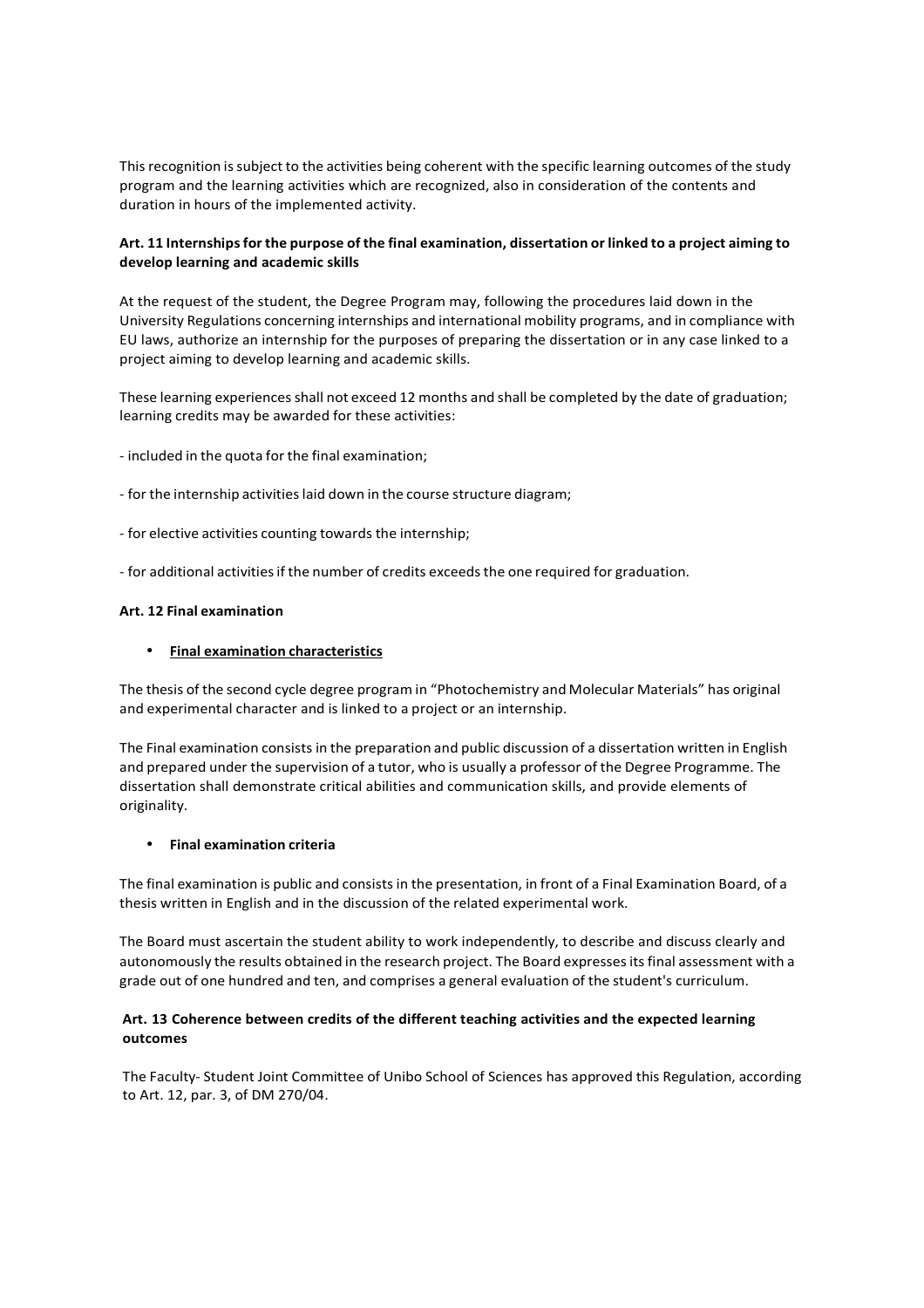This recognition is subject to the activities being coherent with the specific learning outcomes of the study program and the learning activities which are recognized, also in consideration of the contents and duration in hours of the implemented activity.

# **Art. 11 Internships for the purpose of the final examination, dissertation or linked to a project aiming to develop learning and academic skills**

At the request of the student, the Degree Program may, following the procedures laid down in the University Regulations concerning internships and international mobility programs, and in compliance with EU laws, authorize an internship for the purposes of preparing the dissertation or in any case linked to a project aiming to develop learning and academic skills.

These learning experiences shall not exceed 12 months and shall be completed by the date of graduation; learning credits may be awarded for these activities:

- included in the quota for the final examination;
- for the internship activities laid down in the course structure diagram;
- for elective activities counting towards the internship;
- for additional activities if the number of credits exceeds the one required for graduation.

#### **Art. 12 Final examination**

#### • **Final examination characteristics**

The thesis of the second cycle degree program in "Photochemistry and Molecular Materials" has original and experimental character and is linked to a project or an internship.

The Final examination consists in the preparation and public discussion of a dissertation written in English and prepared under the supervision of a tutor, who is usually a professor of the Degree Programme. The dissertation shall demonstrate critical abilities and communication skills, and provide elements of originality.

#### • **Final examination criteria**

The final examination is public and consists in the presentation, in front of a Final Examination Board, of a thesis written in English and in the discussion of the related experimental work.

The Board must ascertain the student ability to work independently, to describe and discuss clearly and autonomously the results obtained in the research project. The Board expresses its final assessment with a grade out of one hundred and ten, and comprises a general evaluation of the student's curriculum.

# **Art. 13 Coherence between credits of the different teaching activities and the expected learning outcomes**

The Faculty- Student Joint Committee of Unibo School of Sciences has approved this Regulation, according to Art. 12, par. 3, of DM 270/04.